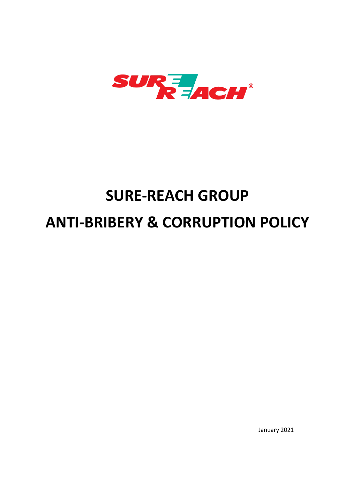

# **SURE-REACH GROUP ANTI-BRIBERY & CORRUPTION POLICY**

January 2021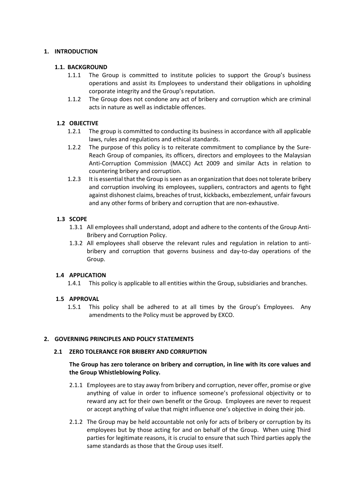# **1. INTRODUCTION**

# **1.1. BACKGROUND**

- 1.1.1 The Group is committed to institute policies to support the Group's business operations and assist its Employees to understand their obligations in upholding corporate integrity and the Group's reputation.
- 1.1.2 The Group does not condone any act of bribery and corruption which are criminal acts in nature as well as indictable offences.

# **1.2 OBJECTIVE**

- 1.2.1 The group is committed to conducting its business in accordance with all applicable laws, rules and regulations and ethical standards.
- 1.2.2 The purpose of this policy is to reiterate commitment to compliance by the Sure-Reach Group of companies, its officers, directors and employees to the Malaysian Anti-Corruption Commission (MACC) Act 2009 and similar Acts in relation to countering bribery and corruption.
- 1.2.3 It is essential that the Group is seen as an organization that does not tolerate bribery and corruption involving its employees, suppliers, contractors and agents to fight against dishonest claims, breaches of trust, kickbacks, embezzlement, unfair favours and any other forms of bribery and corruption that are non-exhaustive.

# **1.3 SCOPE**

- 1.3.1 All employees shall understand, adopt and adhere to the contents of the Group Anti-Bribery and Corruption Policy.
- 1.3.2 All employees shall observe the relevant rules and regulation in relation to antibribery and corruption that governs business and day-to-day operations of the Group.

## **1.4 APPLICATION**

1.4.1 This policy is applicable to all entities within the Group, subsidiaries and branches.

## **1.5 APPROVAL**

1.5.1 This policy shall be adhered to at all times by the Group's Employees. Any amendments to the Policy must be approved by EXCO.

## **2. GOVERNING PRINCIPLES AND POLICY STATEMENTS**

## **2.1 ZERO TOLERANCE FOR BRIBERY AND CORRUPTION**

# **The Group has zero tolerance on bribery and corruption, in line with its core values and the Group Whistleblowing Policy.**

- 2.1.1 Employees are to stay away from bribery and corruption, never offer, promise or give anything of value in order to influence someone's professional objectivity or to reward any act for their own benefit or the Group. Employees are never to request or accept anything of value that might influence one's objective in doing their job.
- 2.1.2 The Group may be held accountable not only for acts of bribery or corruption by its employees but by those acting for and on behalf of the Group. When using Third parties for legitimate reasons, it is crucial to ensure that such Third parties apply the same standards as those that the Group uses itself.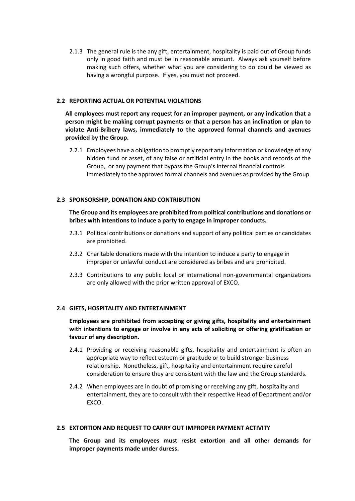2.1.3 The general rule is the any gift, entertainment, hospitality is paid out of Group funds only in good faith and must be in reasonable amount. Always ask yourself before making such offers, whether what you are considering to do could be viewed as having a wrongful purpose. If yes, you must not proceed.

#### **2.2 REPORTING ACTUAL OR POTENTIAL VIOLATIONS**

**All employees must report any request for an improper payment, or any indication that a person might be making corrupt payments or that a person has an inclination or plan to violate Anti-Bribery laws, immediately to the approved formal channels and avenues provided by the Group.**

2.2.1 Employees have a obligation to promptly report any information or knowledge of any hidden fund or asset, of any false or artificial entry in the books and records of the Group, or any payment that bypass the Group's internal financial controls immediately to the approved formal channels and avenues as provided by the Group.

#### **2.3 SPONSORSHIP, DONATION AND CONTRIBUTION**

**The Group and its employees are prohibited from political contributions and donations or bribes with intentions to induce a party to engage in improper conducts.**

- 2.3.1 Political contributions or donations and support of any political parties or candidates are prohibited.
- 2.3.2 Charitable donations made with the intention to induce a party to engage in improper or unlawful conduct are considered as bribes and are prohibited.
- 2.3.3 Contributions to any public local or international non-governmental organizations are only allowed with the prior written approval of EXCO.

#### **2.4 GIFTS, HOSPITALITY AND ENTERTAINMENT**

**Employees are prohibited from accepting or giving gifts, hospitality and entertainment with intentions to engage or involve in any acts of soliciting or offering gratification or favour of any description.**

- 2.4.1 Providing or receiving reasonable gifts, hospitality and entertainment is often an appropriate way to reflect esteem or gratitude or to build stronger business relationship. Nonetheless, gift, hospitality and entertainment require careful consideration to ensure they are consistent with the law and the Group standards.
- 2.4.2 When employees are in doubt of promising or receiving any gift, hospitality and entertainment, they are to consult with their respective Head of Department and/or EXCO.

#### **2.5 EXTORTION AND REQUEST TO CARRY OUT IMPROPER PAYMENT ACTIVITY**

**The Group and its employees must resist extortion and all other demands for improper payments made under duress.**